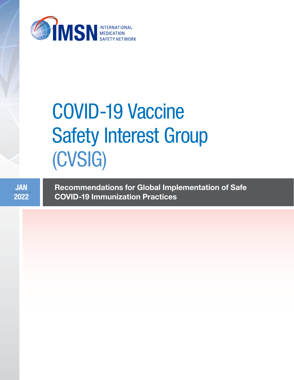

# COVID-19 Vaccine Safety Interest Group (CVSIG)

JAN 2022 Recommendations for Global Implementation of Safe COVID-19 Immunization Practices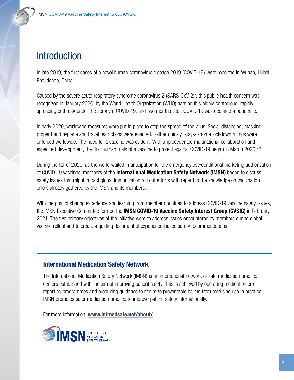# **Introduction**

In late 2019, the first cases of a novel human coronavirus disease 2019 (COVID-19)\* were reported in Wuhan, Hubei Providence, China.

Caused by the severe acute respiratory syndrome coronavirus 2 (SARS-CoV-2)\*, this public health concern was recognized in January 2020, by the World Health Organization (WHO) naming this highly-contagious, rapidlyspreading outbreak under the acronym COVID-19, and two months later, COVID-19 was declared a pandemic.<sup>1</sup>

In early 2020, worldwide measures were put in place to stop the spread of the virus. Social distancing, masking, proper hand hygiene and travel restrictions were enacted. Rather quickly, stay-at-home lockdown rulings were enforced worldwide. The need for a vaccine was evident. With unprecedented multinational collaboration and expedited development, the first human trials of a vaccine to protect against COVID-19 began in March 2020.<sup>2,3</sup>

During the fall of 2020, as the world waited in anticipation for the emergency use/conditional marketing authorization of COVID-19 vaccines, members of the International Medication Safety Network (IMSN) began to discuss safety issues that might impact global immunization roll out efforts with regard to the knowledge on vaccination errors already gathered by the IMSN and its members.4

With the goal of sharing experience and learning from member countries to address COVID-19 vaccine safety issues, the IMSN Executive Committee formed the IMSN COVID-19 Vaccine Safety Interest Group (CVSIG) in February 2021. The two primary objectives of the initiative were to address issues encountered by members during global vaccine rollout and to create a guiding document of experience-based safety recommendations.

#### International Medication Safety Network

The International Medication Safety Network (IMSN) is an international network of safe medication practice centers established with the aim of improving patient safety. This is achieved by operating medication error reporting programmes and producing guidance to minimize preventable harms from medicine use in practice. IMSN promotes safer medication practice to improve patient safety internationally.

For more information: [www.intmedsafe.net/about/](https://www.intmedsafe.net/about/)

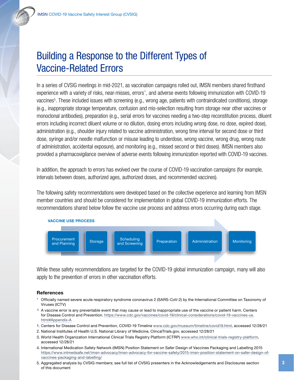# Building a Response to the Different Types of Vaccine-Related Errors

In a series of CVSIG meetings in mid-2021, as vaccination campaigns rolled out, IMSN members shared firsthand experience with a variety of risks, near-misses, errors<sup>^</sup>, and adverse events following immunization with COVID-19 vaccines<sup>5</sup>. These included issues with screening (e.g., wrong age, patients with contraindicated conditions), storage (e.g., inappropriate storage temperature, confusion and mis-selection resulting from storage near other vaccines or monoclonal antibodies), preparation (e.g., serial errors for vaccines needing a two-step reconstitution process, diluent errors including incorrect diluent volume or no dilution, dosing errors including wrong dose, no dose, expired dose), administration (e.g., shoulder injury related to vaccine administration, wrong time interval for second dose or third dose, syringe and/or needle malfunction or misuse leading to underdose, wrong vaccine, wrong drug, wrong route of administration, accidental exposure), and monitoring (e.g., missed second or third doses). IMSN members also provided a pharmacovigilance overview of adverse events following immunization reported with COVID-19 vaccines.

In addition, the approach to errors has evolved over the course of COVID-19 vaccination campaigns (for example, intervals between doses, authorized ages, authorized doses, and recommended vaccines).

The following safety recommendations were developed based on the collective experience and learning from IMSN member countries and should be considered for implementation in global COVID-19 immunization efforts. The recommendations shared below follow the vaccine use process and address errors occurring during each stage.





While these safety recommendations are targeted for the COVID-19 global immunization campaign, many will also apply to the prevention of errors in other vaccination efforts.

#### **References**

- Officially named severe acute respiratory syndrome coronavirus 2 (SARS-CoV-2) by the International Committee on Taxonomy of Viruses (ICTV)
- $\land$  A vaccine error is any preventable event that may cause or lead to inappropriate use of the vaccine or patient harm. Centers for Disease Control and Prevention. https://www.cdc.gov/vaccines/covid-19/clinical-considerations/covid-19-vaccines-us. html#Appendix-A
- 1. Centers for Disease Control and Prevention, COVID-19 Timeline [www.cdc.gov/museum/timeline/covid19.html,](http://www.cdc.gov/museum/timeline/covid19.html) accessed 12/28/21
- 2. National Institutes of Health U.S. National Library of Medicine, ClincalTrials.gov, accessed 12/28/21
- 3. World Health Organization International Clinical Trials Registry Platform (ICTRP) [www.who.int/clinical-trials-registry-platform](http://www.who.int/clinical-trials-registry-platform), accessed 12/28/21
- 4. International Medication Safety Network (IMSN) Position Statement on Safer Design of Vaccines Packaging and Labelling 2015 [https://www.intmedsafe.net/imsn-advocacy/imsn-advocacy-for-vaccine-safety/2015-imsn-position-statement-on-safer-design-of](https://www.intmedsafe.net/imsn-advocacy/imsn-advocacy-for-vaccine-safety/2015-imsn-position-statement-on-safer-design-of-vaccines-packaging-and-labelling/)[vaccines-packaging-and-labelling/](https://www.intmedsafe.net/imsn-advocacy/imsn-advocacy-for-vaccine-safety/2015-imsn-position-statement-on-safer-design-of-vaccines-packaging-and-labelling/)
- 5. Aggregated analysis by CVSIG members; see full list of CVSIG presenters in the Acknowledgements and Disclosures section of this document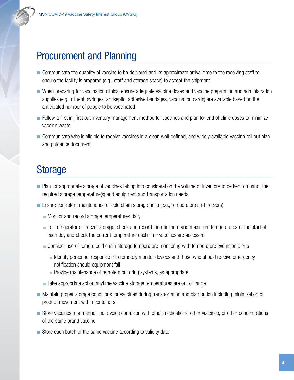

- Communicate the quantity of vaccine to be delivered and its approximate arrival time to the receiving staff to ensure the facility is prepared (e.g., staff and storage space) to accept the shipment
- When preparing for vaccination clinics, ensure adequate vaccine doses and vaccine preparation and administration supplies (e.g., diluent, syringes, antiseptic, adhesive bandages, vaccination cards) are available based on the anticipated number of people to be vaccinated
- Follow a first in, first out inventory management method for vaccines and plan for end of clinic doses to minimize vaccine waste
- Communicate who is eligible to receive vaccines in a clear, well-defined, and widely-available vaccine roll out plan and guidance document

# Storage

- Plan for appropriate storage of vaccines taking into consideration the volume of inventory to be kept on hand, the required storage temperature(s) and equipment and transportation needs
- Ensure consistent maintenance of cold chain storage units (e.g., refrigerators and freezers)
	- Monitor and record storage temperatures daily
	- For refrigerator or freezer storage, check and record the minimum and maximum temperatures at the start of each day and check the current temperature each time vaccines are accessed
	- Consider use of remote cold chain storage temperature monitoring with temperature excursion alerts
		- Identify personnel responsible to remotely monitor devices and those who should receive emergency notification should equipment fail
		- Provide maintenance of remote monitoring systems, as appropriate
	- Take appropriate action anytime vaccine storage temperatures are out of range
- Maintain proper storage conditions for vaccines during transportation and distribution including minimization of product movement within containers
- Store vaccines in a manner that avoids confusion with other medications, other vaccines, or other concentrations of the same brand vaccine
- Store each batch of the same vaccine according to validity date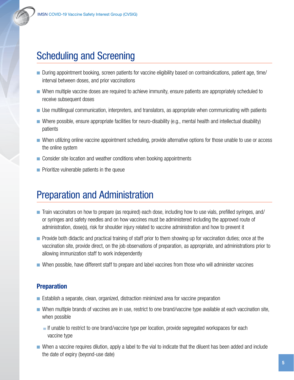# Scheduling and Screening

- During appointment booking, screen patients for vaccine eligibility based on contraindications, patient age, time/ interval between doses, and prior vaccinations
- When multiple vaccine doses are required to achieve immunity, ensure patients are appropriately scheduled to receive subsequent doses
- Use multilingual communication, interpreters, and translators, as appropriate when communicating with patients
- Where possible, ensure appropriate facilities for neuro-disability (e.g., mental health and intellectual disability) patients
- When utilizing online vaccine appointment scheduling, provide alternative options for those unable to use or access the online system
- Consider site location and weather conditions when booking appointments
- Prioritize vulnerable patients in the queue

# Preparation and Administration

- Train vaccinators on how to prepare (as required) each dose, including how to use vials, prefilled syringes, and/ or syringes and safety needles and on how vaccines must be administered including the approved route of administration, dose(s), risk for shoulder injury related to vaccine administration and how to prevent it
- Provide both didactic and practical training of staff prior to them showing up for vaccination duties; once at the vaccination site, provide direct, on the job observations of preparation, as appropriate, and administrations prior to allowing immunization staff to work independently
- When possible, have different staff to prepare and label vaccines from those who will administer vaccines

#### Preparation

- Establish a separate, clean, organized, distraction minimized area for vaccine preparation
- When multiple brands of vaccines are in use, restrict to one brand/vaccine type available at each vaccination site, when possible
	- If unable to restrict to one brand/vaccine type per location, provide segregated workspaces for each vaccine type
- When a vaccine requires dilution, apply a label to the vial to indicate that the diluent has been added and include the date of expiry (beyond-use date)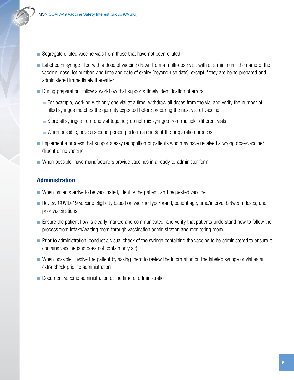- Segregate diluted vaccine vials from those that have not been diluted
- Label each syringe filled with a dose of vaccine drawn from a multi-dose vial, with at a minimum, the name of the vaccine, dose, lot number, and time and date of expiry (beyond-use date), except if they are being prepared and administered immediately thereafter
- During preparation, follow a workflow that supports timely identification of errors
	- For example, working with only one vial at a time, withdraw all doses from the vial and verify the number of filled syringes matches the quantity expected before preparing the next vial of vaccine
	- Store all syringes from one vial together; do not mix syringes from multiple, different vials
	- When possible, have a second person perform a check of the preparation process
- Implement a process that supports easy recognition of patients who may have received a wrong dose/vaccine/ diluent or no vaccine
- When possible, have manufacturers provide vaccines in a ready-to-administer form

#### Administration

- When patients arrive to be vaccinated, identify the patient, and requested vaccine
- Review COVID-19 vaccine eligibility based on vaccine type/brand, patient age, time/interval between doses, and prior vaccinations
- Ensure the patient flow is clearly marked and communicated, and verify that patients understand how to follow the process from intake/waiting room through vaccination administration and monitoring room
- Prior to administration, conduct a visual check of the syringe containing the vaccine to be administered to ensure it contains vaccine (and does not contain only air)
- When possible, involve the patient by asking them to review the information on the labeled syringe or vial as an extra check prior to administration
- Document vaccine administration at the time of administration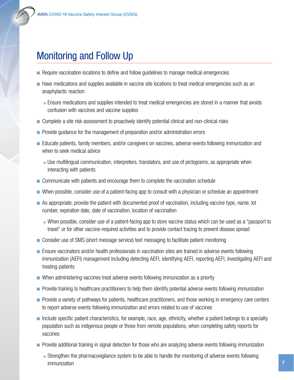## Monitoring and Follow Up

- Require vaccination locations to define and follow guidelines to manage medical emergencies
- Have medications and supplies available in vaccine site locations to treat medical emergencies such as an anaphylactic reaction
	- Ensure medications and supplies intended to treat medical emergencies are stored in a manner that avoids confusion with vaccines and vaccine supplies
- Complete a site risk assessment to proactively identify potential clinical and non-clinical risks
- Provide guidance for the management of preparation and/or administration errors
- Educate patients, family members, and/or caregivers on vaccines, adverse events following immunization and when to seek medical advice
	- Use multilingual communication, interpreters, translators, and use of pictograms, as appropriate when interacting with patients
- Communicate with patients and encourage them to complete the vaccination schedule
- When possible, consider use of a patient-facing app to consult with a physician or schedule an appointment
- As appropriate, provide the patient with documented proof of vaccination, including vaccine type, name, lot number, expiration date, date of vaccination, location of vaccination
	- When possible, consider use of a patient-facing app to store vaccine status which can be used as a "passport to travel" or for other vaccine-required activities and to provide contact tracing to prevent disease spread
- Consider use of SMS (short message service) text messaging to facilitate patient monitoring
- Ensure vaccinators and/or health professionals in vaccination sites are trained in adverse events following immunization (AEFI) management including detecting AEFI, identifying AEFI, reporting AEFI, investigating AEFI and treating patients
- When administering vaccines treat adverse events following immunization as a priority
- Provide training to healthcare practitioners to help them identify potential adverse events following immunization
- Provide a variety of pathways for patients, healthcare practitioners, and those working in emergency care centers to report adverse events following immunization and errors related to use of vaccines
- Include specific patient characteristics, for example, race, age, ethnicity, whether a patient belongs to a specialty population such as indigenous people or those from remote populations, when completing safety reports for vaccines
- Provide additional training in signal detection for those who are analyzing adverse events following immunization
	- Strengthen the pharmacovigilance system to be able to handle the monitoring of adverse events following immunization